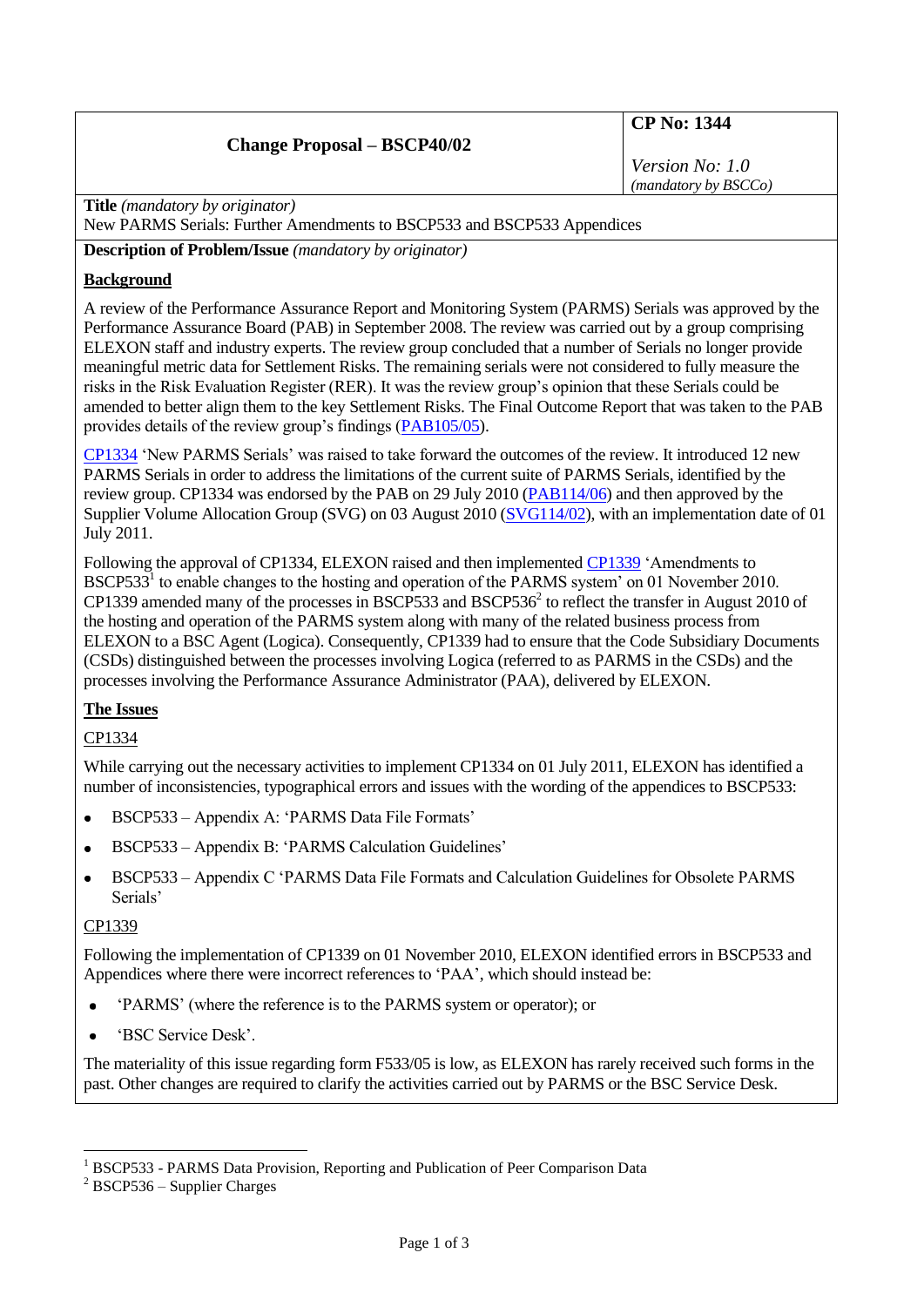## **Change Proposal – BSCP40/02**

# **CP No: 1344**

*Version No: 1.0 (mandatory by BSCCo)*

**Title** *(mandatory by originator)*

New PARMS Serials: Further Amendments to BSCP533 and BSCP533 Appendices

**Description of Problem/Issue** *(mandatory by originator)*

#### **Background**

A review of the Performance Assurance Report and Monitoring System (PARMS) Serials was approved by the Performance Assurance Board (PAB) in September 2008. The review was carried out by a group comprising ELEXON staff and industry experts. The review group concluded that a number of Serials no longer provide meaningful metric data for Settlement Risks. The remaining serials were not considered to fully measure the risks in the Risk Evaluation Register (RER). It was the review group's opinion that these Serials could be amended to better align them to the key Settlement Risks. The Final Outcome Report that was taken to the PAB provides details of the review group's findings [\(PAB105/05\)](http://www.elexon.co.uk/documents/bsc_panel_and_panel_committees/pab_meeting_2009_-_105_-_papers/pab105_05_parms_serial_review_2009_final_report.pdf).

[CP1334](http://www.elexon.co.uk/changeimplementation/findachange/proposal_details.aspx?proposalid=873) 'New PARMS Serials' was raised to take forward the outcomes of the review. It introduced 12 new PARMS Serials in order to address the limitations of the current suite of PARMS Serials, identified by the review group. CP1334 was endorsed by the PAB on 29 July 2010 [\(PAB114/06\)](http://www.elexon.co.uk/documents/bsc_panel,_committees_and_groups/pab_meeting_2010_-_114_-_papers/pab114_06_endorsement_of_cp1334_v2.0.pdf) and then approved by the Supplier Volume Allocation Group (SVG) on 03 August 2010 [\(SVG114/02\)](http://www.elexon.co.uk/documents/bsc_panel,_committees_and_groups/svg_meeting_2010_-_114_-_papers/svg114_02_and_attachments.zip), with an implementation date of 01 July 2011.

Following the approval of CP1334, ELEXON raised and then implemented [CP1339](http://www.elexon.co.uk/changeimplementation/findachange/proposal_details.aspx?proposalid=879) 'Amendments to BSCP533<sup>1</sup> to enable changes to the hosting and operation of the PARMS system' on 01 November 2010. CP1339 amended many of the processes in BSCP533 and BSCP536 $^2$  to reflect the transfer in August 2010 of the hosting and operation of the PARMS system along with many of the related business process from ELEXON to a BSC Agent (Logica). Consequently, CP1339 had to ensure that the Code Subsidiary Documents (CSDs) distinguished between the processes involving Logica (referred to as PARMS in the CSDs) and the processes involving the Performance Assurance Administrator (PAA), delivered by ELEXON.

## **The Issues**

## CP1334

While carrying out the necessary activities to implement CP1334 on 01 July 2011, ELEXON has identified a number of inconsistencies, typographical errors and issues with the wording of the appendices to BSCP533:

- BSCP533 Appendix A: 'PARMS Data File Formats'
- BSCP533 Appendix B: 'PARMS Calculation Guidelines'  $\bullet$
- BSCP533 Appendix C 'PARMS Data File Formats and Calculation Guidelines for Obsolete PARMS Serials'

### CP1339

<u>.</u>

Following the implementation of CP1339 on 01 November 2010, ELEXON identified errors in BSCP533 and Appendices where there were incorrect references to 'PAA', which should instead be:

- 'PARMS' (where the reference is to the PARMS system or operator); or  $\bullet$
- 'BSC Service Desk'.  $\bullet$

The materiality of this issue regarding form F533/05 is low, as ELEXON has rarely received such forms in the past. Other changes are required to clarify the activities carried out by PARMS or the BSC Service Desk.

<sup>1</sup> BSCP533 - PARMS Data Provision, Reporting and Publication of Peer Comparison Data

 $2$  BSCP536 – Supplier Charges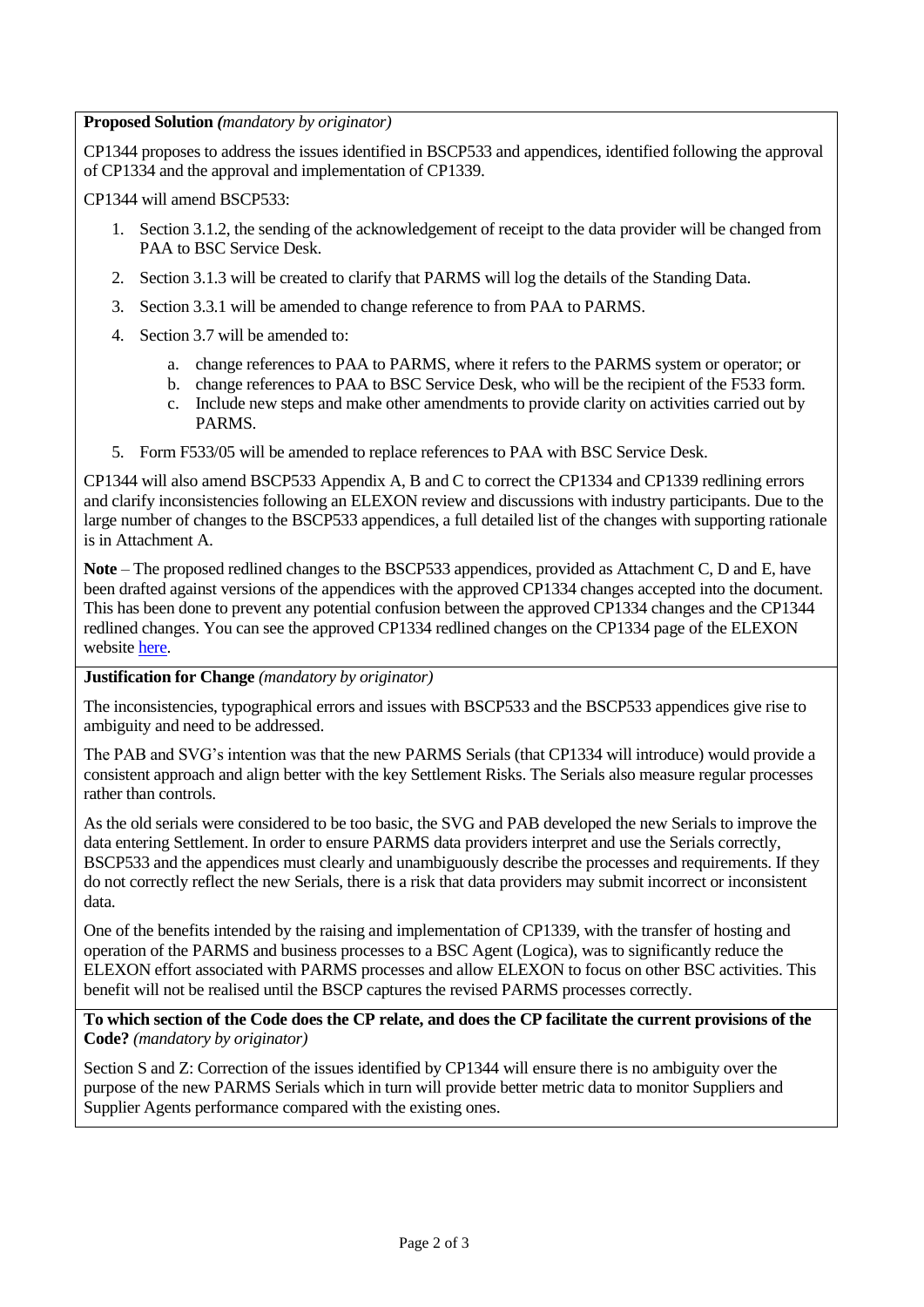**Proposed Solution** *(mandatory by originator)*

CP1344 proposes to address the issues identified in BSCP533 and appendices, identified following the approval of CP1334 and the approval and implementation of CP1339.

CP1344 will amend BSCP533:

- 1. Section 3.1.2, the sending of the acknowledgement of receipt to the data provider will be changed from PAA to BSC Service Desk.
- 2. Section 3.1.3 will be created to clarify that PARMS will log the details of the Standing Data.
- 3. Section 3.3.1 will be amended to change reference to from PAA to PARMS.
- 4. Section 3.7 will be amended to:
	- a. change references to PAA to PARMS, where it refers to the PARMS system or operator; or
	- b. change references to PAA to BSC Service Desk, who will be the recipient of the F533 form.
	- c. Include new steps and make other amendments to provide clarity on activities carried out by PARMS.
- 5. Form F533/05 will be amended to replace references to PAA with BSC Service Desk.

CP1344 will also amend BSCP533 Appendix A, B and C to correct the CP1334 and CP1339 redlining errors and clarify inconsistencies following an ELEXON review and discussions with industry participants. Due to the large number of changes to the BSCP533 appendices, a full detailed list of the changes with supporting rationale is in Attachment A.

**Note** – The proposed redlined changes to the BSCP533 appendices, provided as Attachment C, D and E, have been drafted against versions of the appendices with the approved CP1334 changes accepted into the document. This has been done to prevent any potential confusion between the approved CP1334 changes and the CP1344 redlined changes. You can see the approved CP1334 redlined changes on the CP1334 page of the ELEXON website [here.](http://www.elexon.co.uk/changeimplementation/findachange/proposal_details.aspx?proposalid=873)

**Justification for Change** *(mandatory by originator)*

The inconsistencies, typographical errors and issues with BSCP533 and the BSCP533 appendices give rise to ambiguity and need to be addressed.

The PAB and SVG's intention was that the new PARMS Serials (that CP1334 will introduce) would provide a consistent approach and align better with the key Settlement Risks. The Serials also measure regular processes rather than controls.

As the old serials were considered to be too basic, the SVG and PAB developed the new Serials to improve the data entering Settlement. In order to ensure PARMS data providers interpret and use the Serials correctly, BSCP533 and the appendices must clearly and unambiguously describe the processes and requirements. If they do not correctly reflect the new Serials, there is a risk that data providers may submit incorrect or inconsistent data.

One of the benefits intended by the raising and implementation of CP1339, with the transfer of hosting and operation of the PARMS and business processes to a BSC Agent (Logica), was to significantly reduce the ELEXON effort associated with PARMS processes and allow ELEXON to focus on other BSC activities. This benefit will not be realised until the BSCP captures the revised PARMS processes correctly.

**To which section of the Code does the CP relate, and does the CP facilitate the current provisions of the Code?** *(mandatory by originator)*

Section S and Z: Correction of the issues identified by CP1344 will ensure there is no ambiguity over the purpose of the new PARMS Serials which in turn will provide better metric data to monitor Suppliers and Supplier Agents performance compared with the existing ones.